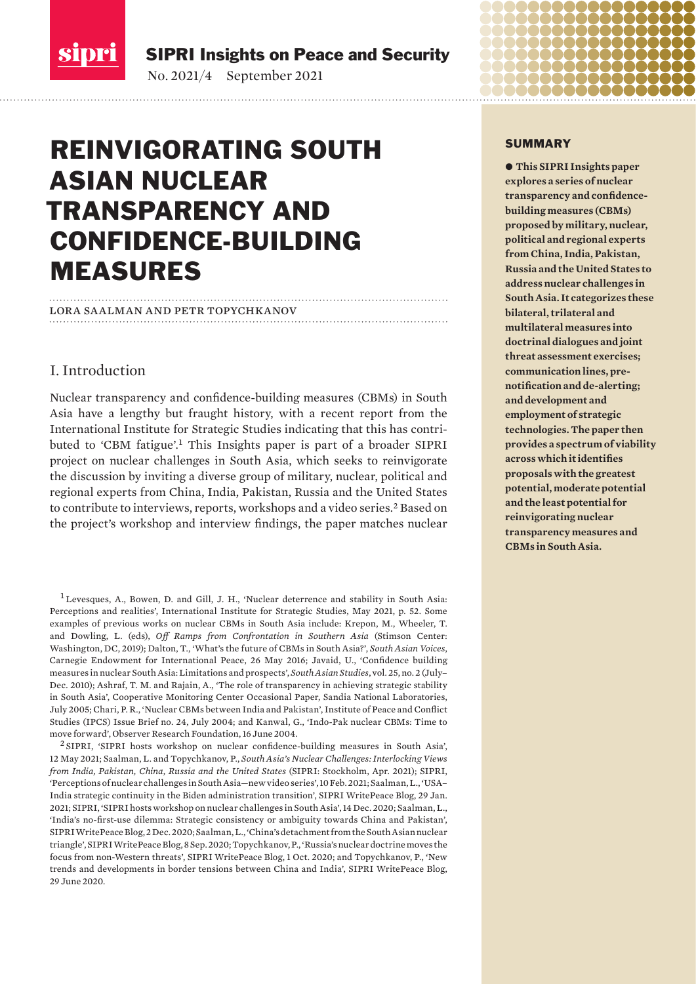<span id="page-0-0"></span>

SIPRI Insights on Peace and Security

No. 2021/4 September 2021

# REINVIGORATING SOUTH ASIAN NUCLEAR TRANSPARENCY AND CONFIDENCE-BUILDING MEASURES

# lora saalman and petr topychkanov

# I. Introduction

Nuclear transparency and confidence-building measures (CBMs) in South Asia have a lengthy but fraught history, with a recent report from the International Institute for Strategic Studies indicating that this has contributed to 'CBM fatigue'.<sup>1</sup> This Insights paper is part of a broader SIPRI project on nuclear challenges in South Asia, which seeks to reinvigorate the discussion by inviting a diverse group of military, nuclear, political and regional experts from China, India, Pakistan, Russia and the United States to contribute to interviews, reports, workshops and a video series.<sup>2</sup> Based on the project's workshop and interview findings, the paper matches nuclear

<sup>1</sup> Levesques, A., Bowen, D. and Gill, J. H., '[Nuclear deterrence and stability in South Asia:](https://www.iiss.org/blogs/research-paper/2021/05/nuclear-deterrence-south-asia)  [Perceptions and realities](https://www.iiss.org/blogs/research-paper/2021/05/nuclear-deterrence-south-asia)', International Institute for Strategic Studies, May 2021, p. 52. Some examples of previous works on nuclear CBMs in South Asia include: Krepon, M., Wheeler, T. and Dowling, L. (eds), *[Off Ramps from Confrontation in Southern Asia](https://www.stimson.org/wp-content/files/file-attachments/OffRamps_Book_R5_WEB.pdf)* (Stimson Center: Washington, DC, 2019); Dalton, T., '[What's the future of CBMs in South Asia?'](https://carnegieendowment.org/2016/05/26/what-s-future-of-cbms-in-south-asia-pub-63679), *South Asian Voices*, Carnegie Endowment for International Peace, 26 May 2016; Javaid, U., '[Confidence building](https://www.academia.edu/15183634/Confidence_Building_Measures_in_Nuclear_South_Asia_Limitations_and_Prospects)  [measures in nuclear South Asia: Limitations and prospects](https://www.academia.edu/15183634/Confidence_Building_Measures_in_Nuclear_South_Asia_Limitations_and_Prospects)', *South Asian Studies*, vol. 25, no. 2 (July– Dec. 2010); Ashraf, T. M. and Rajain, A., '[The role of transparency in achieving strategic stability](https://www.sandia.gov/cooperative-monitoring-center/_assets/documents/sand2005-4957.pdf)  [in South Asia'](https://www.sandia.gov/cooperative-monitoring-center/_assets/documents/sand2005-4957.pdf), Cooperative Monitoring Center Occasional Paper, Sandia National Laboratories, July 2005; Chari, P. R., '[Nuclear CBMs between India and Pakistan](https://www.files.ethz.ch/isn/136610/IB24-Chari-NuclearCBMsBetweenIndiaPak.pdf)', Institute of Peace and Conflict Studies (IPCS) Issue Brief no. 24, July 2004; and Kanwal, G., '[Indo-Pak nuclear CBMs: Time to](https://www.orfonline.org/research/indo-pak-nuclear-cbms-time-to-move-forward)  [move forward'](https://www.orfonline.org/research/indo-pak-nuclear-cbms-time-to-move-forward), Observer Research Foundation, 16 June 2004.

<sup>2</sup> SIPRI, '[SIPRI hosts workshop on nuclear confidence-building measures in South Asia](https://sipri.org/news/2021/sipri-hosts-workshop-nuclear-confidence-building-measures-south-asia)', 12 May 2021; Saalman, L. and Topychkanov, P., *[South Asia's Nuclear Challenges: Interlocking Views](https://www.sipri.org/sites/default/files/2021-03/2104_south_asias_nuclear_challenges_0.pdf)  [from India, Pakistan, China, Russia and the United States](https://www.sipri.org/sites/default/files/2021-03/2104_south_asias_nuclear_challenges_0.pdf)* (SIPRI: Stockholm, Apr. 2021); SIPRI, '[Perceptions of nuclear challenges in South Asia—new video series](https://www.sipri.org/news/2021/perceptions-nuclear-challenges-south-asia-new-video-series)', 10 Feb. 2021; Saalman, L., '[USA–](https://www.sipri.org/commentary/blog/2021/usa-india-strategic-continuity-biden-administration-transition) [India strategic continuity in the Biden administration transition'](https://www.sipri.org/commentary/blog/2021/usa-india-strategic-continuity-biden-administration-transition), SIPRI WritePeace Blog, 29 Jan. 2021; SIPRI, '[SIPRI hosts workshop on nuclear challenges in South Asia'](https://www.sipri.org/news/2020/sipri-hosts-workshop-nuclear-challenges-south-asia), 14 Dec. 2020; Saalman, L., '[India's no-first-use dilemma: Strategic consistency or ambiguity towards China and Pakistan](https://www.sipri.org/commentary/blog/2020/indias-no-first-use-dilemma-strategic-consistency-or-ambiguity-towards-china-and-pakistan)', SIPRI WritePeace Blog, 2 Dec. 2020; Saalman, L., '[China's detachment from the South Asian nuclear](https://www.sipri.org/commentary/blog/2020/chinas-detachment-south-asian-nuclear-triangle)  [triangle'](https://www.sipri.org/commentary/blog/2020/chinas-detachment-south-asian-nuclear-triangle), SIPRI WritePeace Blog, 8 Sep. 2020; Topychkanov, P., ['Russia's nuclear doctrine moves the](https://www.sipri.org/commentary/blog/2020/russias-nuclear-doctrine-moves-focus-non-western-threats)  [focus from non-Western threats](https://www.sipri.org/commentary/blog/2020/russias-nuclear-doctrine-moves-focus-non-western-threats)', SIPRI WritePeace Blog, 1 Oct. 2020; and Topychkanov, P., ['New](https://www.sipri.org/commentary/blog/2020/new-trends-and-developments-border-tensions-between-china-and-india)  [trends and developments in border tensions between China and India](https://www.sipri.org/commentary/blog/2020/new-trends-and-developments-border-tensions-between-china-and-india)', SIPRI WritePeace Blog, 29 June 2020.

#### SUMMARY

 $\bullet$  **This SIPRI Insights paper explores a series of nuclear transparency and confidencebuilding measures (CBMs) proposed by military, nuclear, political and regional experts from China, India, Pakistan, Russia and the United States to address nuclear challenges in South Asia. It categorizes these bilateral, trilateral and multilateral measures into doctrinal dialogues and joint threat assessment exercises; communication lines, prenotification and de-alerting; and development and employment of strategic technologies. The paper then provides a spectrum of viability across which it identifies proposals with the greatest potential, moderate potential and the least potential for reinvigorating nuclear transparency measures and CBMs in South Asia.**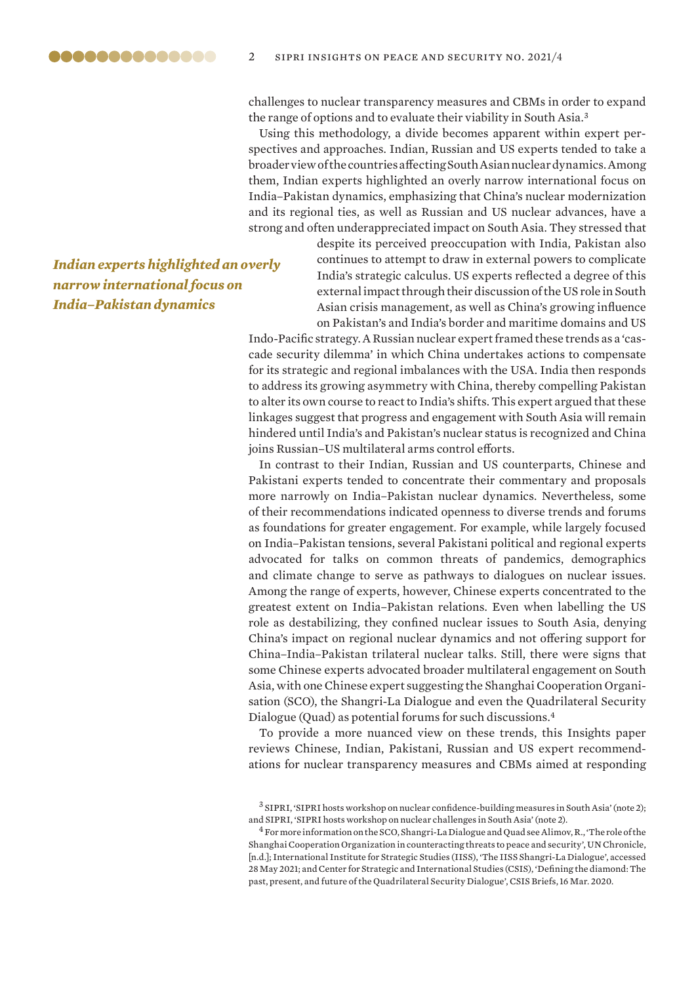challenges to nuclear transparency measures and CBMs in order to expand the range of options and to evaluate their viability in South Asia.<sup>3</sup>

Using this methodology, a divide becomes apparent within expert perspectives and approaches. Indian, Russian and US experts tended to take a broader view of the countries affecting South Asian nuclear dynamics. Among them, Indian experts highlighted an overly narrow international focus on India–Pakistan dynamics, emphasizing that China's nuclear modernization and its regional ties, as well as Russian and US nuclear advances, have a strong and often underappreciated impact on South Asia. They stressed that

> despite its perceived preoccupation with India, Pakistan also continues to attempt to draw in external powers to complicate India's strategic calculus. US experts reflected a degree of this external impact through their discussion of the US role in South Asian crisis management, as well as China's growing influence on Pakistan's and India's border and maritime domains and US

Indo-Pacific strategy. A Russian nuclear expert framed these trends as a 'cascade security dilemma' in which China undertakes actions to compensate for its strategic and regional imbalances with the USA. India then responds to address its growing asymmetry with China, thereby compelling Pakistan to alter its own course to react to India's shifts. This expert argued that these linkages suggest that progress and engagement with South Asia will remain hindered until India's and Pakistan's nuclear status is recognized and China joins Russian–US multilateral arms control efforts.

In contrast to their Indian, Russian and US counterparts, Chinese and Pakistani experts tended to concentrate their commentary and proposals more narrowly on India–Pakistan nuclear dynamics. Nevertheless, some of their recommendations indicated openness to diverse trends and forums as foundations for greater engagement. For example, while largely focused on India–Pakistan tensions, several Pakistani political and regional experts advocated for talks on common threats of pandemics, demographics and climate change to serve as pathways to dialogues on nuclear issues. Among the range of experts, however, Chinese experts concentrated to the greatest extent on India–Pakistan relations. Even when labelling the US role as destabilizing, they confined nuclear issues to South Asia, denying China's impact on regional nuclear dynamics and not offering support for China–India–Pakistan trilateral nuclear talks. Still, there were signs that some Chinese experts advocated broader multilateral engagement on South Asia, with one Chinese expert suggesting the Shanghai Cooperation Organisation (SCO), the Shangri-La Dialogue and even the Quadrilateral Security Dialogue (Quad) as potential forums for such discussions.<sup>4</sup>

To provide a more nuanced view on these trends, this Insights paper reviews Chinese, Indian, Pakistani, Russian and US expert recommendations for nuclear transparency measures and CBMs aimed at responding

 $^3$  SIPRI, 'SIPRI hosts workshop on nuclear confidence-building measures in South Asia' (note 2); and SIPRI, 'SIPRI hosts workshop on nuclear challenges in South Asia' (note 2).

*Indian experts highlighted an overly narrow international focus on India–Pakistan dynamics*

<sup>4</sup> For more information on the SCO, Shangri-La Dialogue and Quad see Alimov, R., '[The role of the](https://www.un.org/en/chronicle/article/role-shanghai-cooperation-organization-counteracting-threats-peace-and-security)  [Shanghai Cooperation Organization in counteracting threats to peace and security'](https://www.un.org/en/chronicle/article/role-shanghai-cooperation-organization-counteracting-threats-peace-and-security), UN Chronicle, [n.d.]; International Institute for Strategic Studies (IISS), ['The IISS Shangri-La Dialogue](https://www.iiss.org/events/shangri-la-dialogue/shangri-la-dialogue-2021)', accessed 28 May 2021; and Center for Strategic and International Studies (CSIS), '[Defining the diamond: The](https://www.csis.org/analysis/defining-diamond-past-present-and-future-quadrilateral-security-dialogue)  [past, present, and future of the Quadrilateral Security Dialogue'](https://www.csis.org/analysis/defining-diamond-past-present-and-future-quadrilateral-security-dialogue), CSIS Briefs, 16 Mar. 2020.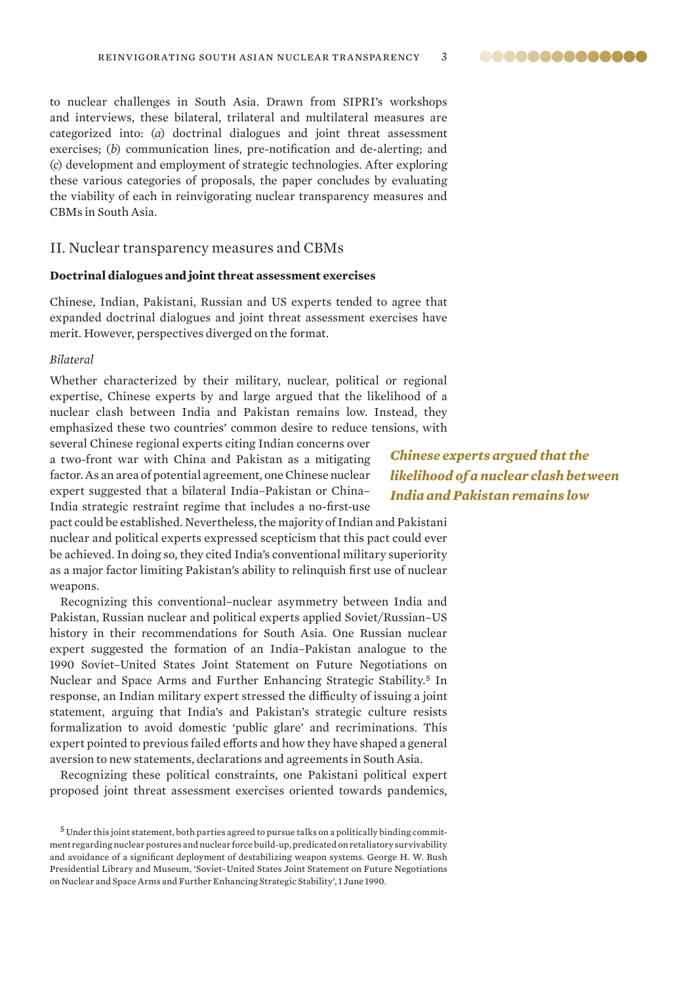<span id="page-2-0"></span>to nuclear challenges in South Asia. Drawn from SIPRI's workshops and interviews, these bilateral, trilateral and multilateral measures are categorized into: (*a*) doctrinal dialogues and joint threat assessment exercises; (*b*) communication lines, pre-notification and de-alerting; and (*c*) development and employment of strategic technologies. After exploring these various categories of proposals, the paper concludes by evaluating the viability of each in reinvigorating nuclear transparency measures and CBMs in South Asia.

### II. Nuclear transparency measures and CBMs

#### **Doctrinal dialogues and joint threat assessment exercises**

Chinese, Indian, Pakistani, Russian and US experts tended to agree that expanded doctrinal dialogues and joint threat assessment exercises have merit. However, perspectives diverged on the format.

#### *Bilateral*

Whether characterized by their military, nuclear, political or regional expertise, Chinese experts by and large argued that the likelihood of a nuclear clash between India and Pakistan remains low. Instead, they emphasized these two countries' common desire to reduce tensions, with

several Chinese regional experts citing Indian concerns over a two-front war with China and Pakistan as a mitigating factor. As an area of potential agreement, one Chinese nuclear expert suggested that a bilateral India–Pakistan or China– India strategic restraint regime that includes a no-first-use

pact could be established. Nevertheless, the majority of Indian and Pakistani nuclear and political experts expressed scepticism that this pact could ever be achieved. In doing so, they cited India's conventional military superiority as a major factor limiting Pakistan's ability to relinquish first use of nuclear weapons.

Recognizing this conventional–nuclear asymmetry between India and Pakistan, Russian nuclear and political experts applied Soviet/Russian–US history in their recommendations for South Asia. One Russian nuclear expert suggested the formation of an India–Pakistan analogue to the 1990 Soviet–United States Joint Statement on Future Negotiations on Nuclear and Space Arms and Further Enhancing Strategic Stability.<sup>5</sup> In response, an Indian military expert stressed the difficulty of issuing a joint statement, arguing that India's and Pakistan's strategic culture resists formalization to avoid domestic 'public glare' and recriminations. This expert pointed to previous failed efforts and how they have shaped a general aversion to new statements, declarations and agreements in South Asia.

Recognizing these political constraints, one Pakistani political expert proposed joint threat assessment exercises oriented towards pandemics,

*Chinese experts argued that the likelihood of a nuclear clash between India and Pakistan remains low*

@@@@@@@@@@@@@@

 $5$  Under this joint statement, both parties agreed to pursue talks on a politically binding commitment regarding nuclear postures and nuclear force build-up, predicated on retaliatory survivability and avoidance of a significant deployment of destabilizing weapon systems. George H. W. Bush Presidential Library and Museum, '[Soviet–United States Joint Statement on Future Negotiations](https://bush41library.tamu.edu/archives/public-papers/1938)  [on Nuclear and Space Arms and Further Enhancing Strategic Stability'](https://bush41library.tamu.edu/archives/public-papers/1938), 1 June 1990.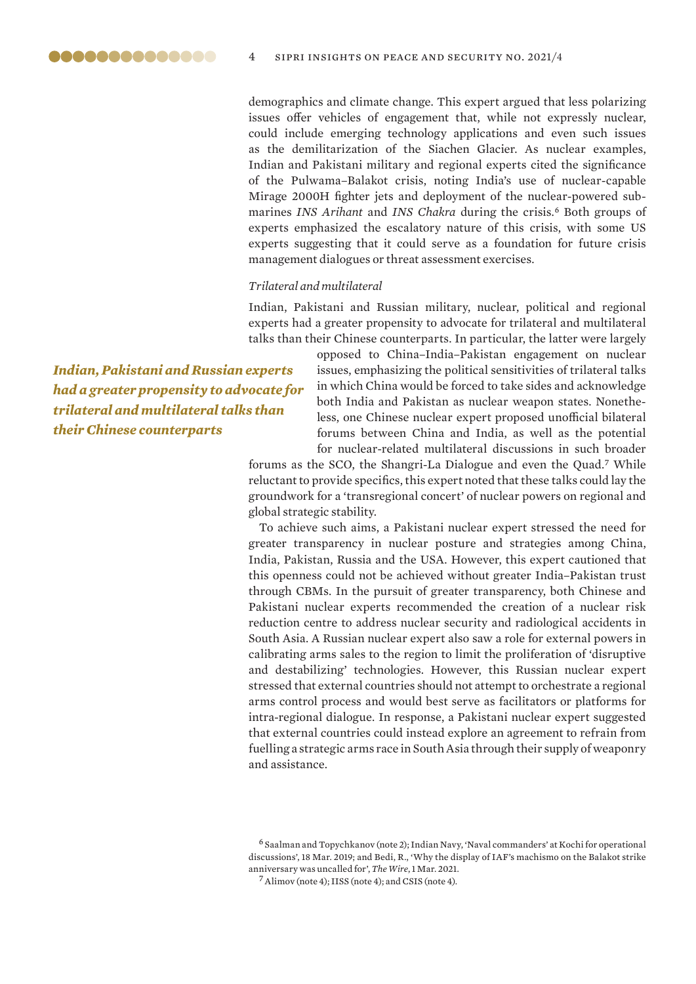demographics and climate change. This expert argued that less polarizing issues offer vehicles of engagement that, while not expressly nuclear, could include emerging technology applications and even such issues as the demilitarization of the Siachen Glacier. As nuclear examples, Indian and Pakistani military and regional experts cited the significance of the Pulwama–Balakot crisis, noting India's use of nuclear-capable Mirage 2000H fighter jets and deployment of the nuclear-powered submarines INS Arihant and INS Chakra during the crisis.<sup>6</sup> Both groups of experts emphasized the escalatory nature of this crisis, with some US experts suggesting that it could serve as a foundation for future crisis management dialogues or threat assessment exercises.

#### *Trilateral and multilateral*

Indian, Pakistani and Russian military, nuclear, political and regional experts had a greater propensity to advocate for trilateral and multilateral talks than their Chinese counterparts. In particular, the latter were largely

*Indian, Pakistani and Russian experts had a greater propensity to advocate for trilateral and multilateral talks than their Chinese counterparts*

opposed to China–India–Pakistan engagement on nuclear issues, emphasizing the political sensitivities of trilateral talks in which China would be forced to take sides and acknowledge both India and Pakistan as nuclear weapon states. Nonetheless, one Chinese nuclear expert proposed unofficial bilateral forums between China and India, as well as the potential for nuclear-related multilateral discussions in such broader

forums as the SCO, the Shangri-La Dialogue and even the Quad.<sup>7</sup> While reluctant to provide specifics, this expert noted that these talks could lay the groundwork for a 'transregional concert' of nuclear powers on regional and global strategic stability.

To achieve such aims, a Pakistani nuclear expert stressed the need for greater transparency in nuclear posture and strategies among China, India, Pakistan, Russia and the USA. However, this expert cautioned that this openness could not be achieved without greater India–Pakistan trust through CBMs. In the pursuit of greater transparency, both Chinese and Pakistani nuclear experts recommended the creation of a nuclear risk reduction centre to address nuclear security and radiological accidents in South Asia. A Russian nuclear expert also saw a role for external powers in calibrating arms sales to the region to limit the proliferation of 'disruptive and destabilizing' technologies. However, this Russian nuclear expert stressed that external countries should not attempt to orchestrate a regional arms control process and would best serve as facilitators or platforms for intra-regional dialogue. In response, a Pakistani nuclear expert suggested that external countries could instead explore an agreement to refrain from fuelling a strategic arms race in South Asia through their supply of weaponry and assistance.

<sup>6</sup> Saalman and Topychkanov (note 2); Indian Navy, '[Naval commanders' at Kochi for operational](https://www.indiannavy.nic.in/content/naval-commanders-kochi-operational-discussions)  [discussions](https://www.indiannavy.nic.in/content/naval-commanders-kochi-operational-discussions)', 18 Mar. 2019; and Bedi, R., '[Why the display of IAF's machismo on the Balakot strike](https://thewire.in/security-security/balakot-strike-indian-air-force-rafale-jets)  [anniversary was uncalled for'](https://thewire.in/security-security/balakot-strike-indian-air-force-rafale-jets), *The Wire*, 1 Mar. 2021.

<sup>7</sup>Alimov (note 4); IISS (note 4); and CSIS (note 4).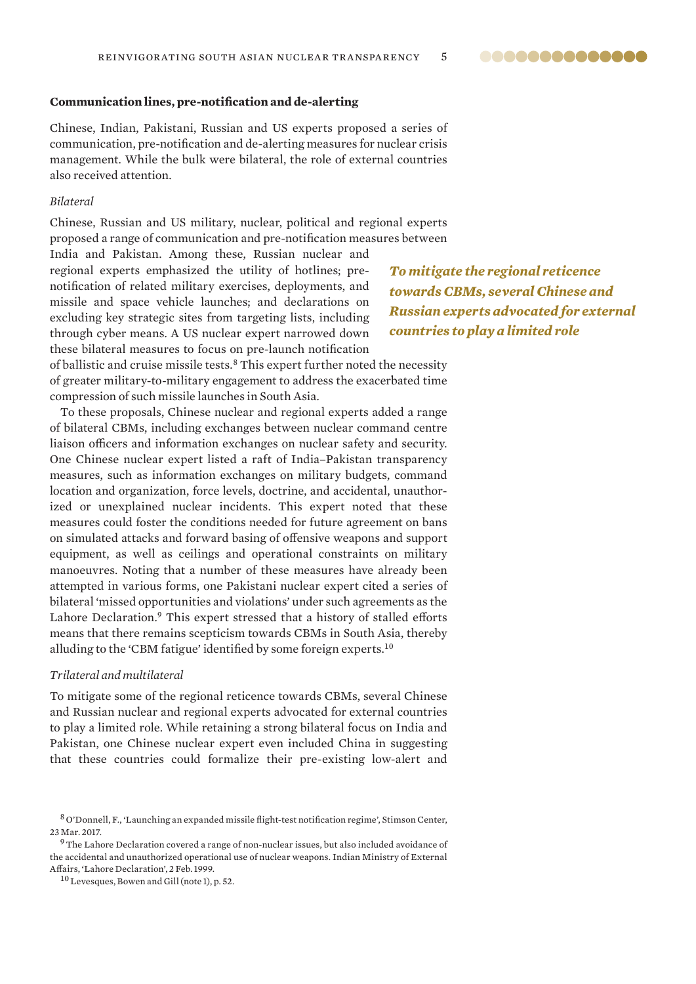#### <span id="page-4-0"></span>**Communication lines, pre-notification and de-alerting**

Chinese, Indian, Pakistani, Russian and US experts proposed a series of communication, pre-notification and de-alerting measures for nuclear crisis management. While the bulk were bilateral, the role of external countries also received attention.

#### *Bilateral*

Chinese, Russian and US military, nuclear, political and regional experts proposed a range of communication and pre-notification measures between

India and Pakistan. Among these, Russian nuclear and regional experts emphasized the utility of hotlines; prenotification of related military exercises, deployments, and missile and space vehicle launches; and declarations on excluding key strategic sites from targeting lists, including through cyber means. A US nuclear expert narrowed down these bilateral measures to focus on pre-launch notification

*To mitigate the regional reticence towards CBMs, several Chinese and Russian experts advocated for external countries to play a limited role*

of ballistic and cruise missile tests.<sup>8</sup> This expert further noted the necessity of greater military-to-military engagement to address the exacerbated time compression of such missile launches in South Asia.

To these proposals, Chinese nuclear and regional experts added a range of bilateral CBMs, including exchanges between nuclear command centre liaison officers and information exchanges on nuclear safety and security. One Chinese nuclear expert listed a raft of India–Pakistan transparency measures, such as information exchanges on military budgets, command location and organization, force levels, doctrine, and accidental, unauthorized or unexplained nuclear incidents. This expert noted that these measures could foster the conditions needed for future agreement on bans on simulated attacks and forward basing of offensive weapons and support equipment, as well as ceilings and operational constraints on military manoeuvres. Noting that a number of these measures have already been attempted in various forms, one Pakistani nuclear expert cited a series of bilateral 'missed opportunities and violations' under such agreements as the Lahore Declaration.<sup>9</sup> This expert stressed that a history of stalled efforts means that there remains scepticism towards CBMs in South Asia, thereby alluding to the 'CBM fatigue' identified by some foreign experts.<sup>10</sup>

#### *Trilateral and multilateral*

To mitigate some of the regional reticence towards CBMs, several Chinese and Russian nuclear and regional experts advocated for external countries to play a limited role. While retaining a strong bilateral focus on India and Pakistan, one Chinese nuclear expert even included China in suggesting that these countries could formalize their pre-existing low-alert and

@@@@@@@@@@@@@@

<sup>8</sup> O'Donnell, F., '[Launching an expanded missile flight-test notification regime](https://www.stimson.org/2017/launching-expanded-missile-flight-test-notification-regime)', Stimson Center, 23 Mar. 2017.

 $^9$  The Lahore Declaration covered a range of non-nuclear issues, but also included avoidance of the accidental and unauthorized operational use of nuclear weapons. Indian Ministry of External Affairs, '[Lahore Declaration](https://mea.gov.in/in-focus-article.htm?18997/Lahore+Declaration+February+1999)', 2 Feb. 1999.

<sup>&</sup>lt;sup>10</sup> Levesques, Bowen and Gill (note 1), p. 52.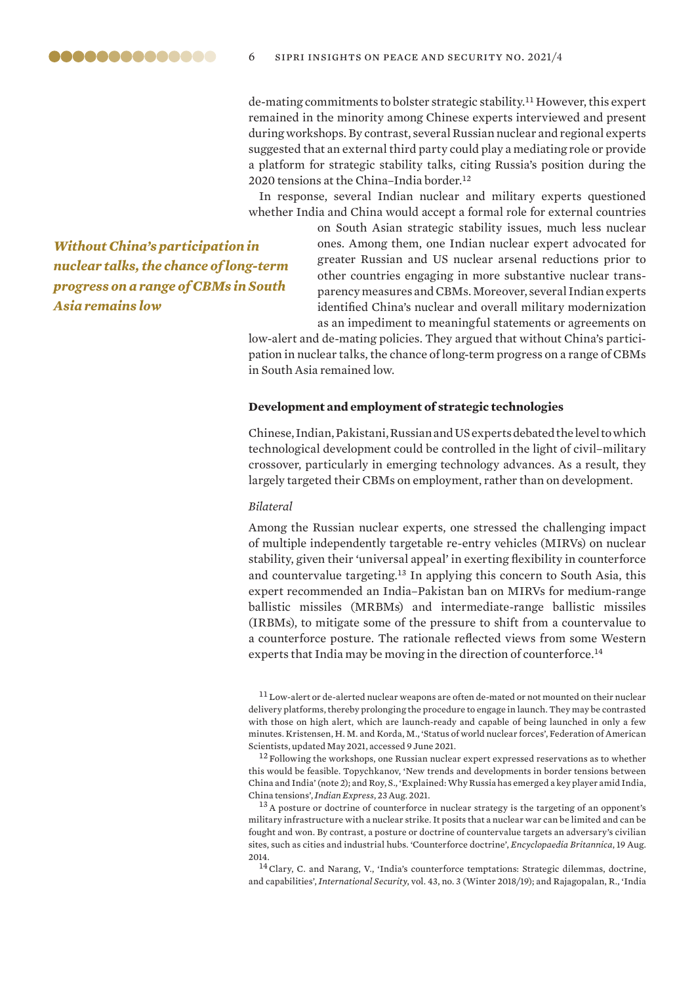<span id="page-5-0"></span>

de-mating commitments to bolster strategic stability.<sup>11</sup> However, this expert remained in the minority among Chinese experts interviewed and present during workshops. By contrast, several Russian nuclear and regional experts suggested that an external third party could play a mediating role or provide a platform for strategic stability talks, citing Russia's position during the 2020 tensions at the China-India border.<sup>12</sup>

In response, several Indian nuclear and military experts questioned whether India and China would accept a formal role for external countries

*Without China's participation in nuclear talks, the chance of long-term progress on a range of CBMs in South Asia remains low*

on South Asian strategic stability issues, much less nuclear ones. Among them, one Indian nuclear expert advocated for greater Russian and US nuclear arsenal reductions prior to other countries engaging in more substantive nuclear transparency measures and CBMs. Moreover, several Indian experts identified China's nuclear and overall military modernization as an impediment to meaningful statements or agreements on

low-alert and de-mating policies. They argued that without China's participation in nuclear talks, the chance of long-term progress on a range of CBMs in South Asia remained low.

#### **Development and employment of strategic technologies**

Chinese, Indian, Pakistani, Russian and US experts debated the level to which technological development could be controlled in the light of civil–military crossover, particularly in emerging technology advances. As a result, they largely targeted their CBMs on employment, rather than on development.

#### *Bilateral*

Among the Russian nuclear experts, one stressed the challenging impact of multiple independently targetable re-entry vehicles (MIRVs) on nuclear stability, given their 'universal appeal' in exerting flexibility in counterforce and countervalue targeting.<sup>13</sup> In applying this concern to South Asia, this expert recommended an India–Pakistan ban on MIRVs for medium-range ballistic missiles (MRBMs) and intermediate-range ballistic missiles (IRBMs), to mitigate some of the pressure to shift from a countervalue to a counterforce posture. The rationale reflected views from some Western experts that India may be moving in the direction of counterforce.<sup>14</sup>

<sup>&</sup>lt;sup>11</sup> Low-alert or de-alerted nuclear weapons are often de-mated or not mounted on their nuclear delivery platforms, thereby prolonging the procedure to engage in launch. They may be contrasted with those on high alert, which are launch-ready and capable of being launched in only a few minutes. Kristensen, H. M. and Korda, M., '[Status of world nuclear forces'](https://fas.org/issues/nuclear-weapons/status-world-nuclear-forces), Federation of American Scientists, updated May 2021, accessed 9 June 2021.

<sup>&</sup>lt;sup>12</sup> Following the workshops, one Russian nuclear expert expressed reservations as to whether this would be feasible. Topychkanov, 'New trends and developments in border tensions between China and India' (note 2); and Roy, S., '[Explained: Why Russia has emerged a key player amid India,](https://indianexpress.com/article/explained/india-china-border-dispute-galwan-faceoff-resolution-russia-6471548)  [China tensions'](https://indianexpress.com/article/explained/india-china-border-dispute-galwan-faceoff-resolution-russia-6471548), *Indian Express*, 23 Aug. 2021.

<sup>&</sup>lt;sup>13</sup> A posture or doctrine of counterforce in nuclear strategy is the targeting of an opponent's military infrastructure with a nuclear strike. It posits that a nuclear war can be limited and can be fought and won. By contrast, a posture or doctrine of countervalue targets an adversary's civilian sites, such as cities and industrial hubs. ['Counterforce doctrine](https://www.britannica.com/topic/counterforce-doctrine)', *Encyclopaedia Britannica*, 19 Aug. 2014.

<sup>14</sup>Clary, C. and Narang, V., '[India's counterforce temptations: Strategic dilemmas, doctrine,](https://www.belfercenter.org/publication/indias-counterforce-temptations-strategic-dilemmas-doctrine-and-capabilities)  [and capabilities'](https://www.belfercenter.org/publication/indias-counterforce-temptations-strategic-dilemmas-doctrine-and-capabilities), *International Security*, vol. 43, no. 3 (Winter 2018/19); and Rajagopalan, R., '[India](https://www.orfonline.org/research/india-and-counterforce-a-question-of-evidence-66126)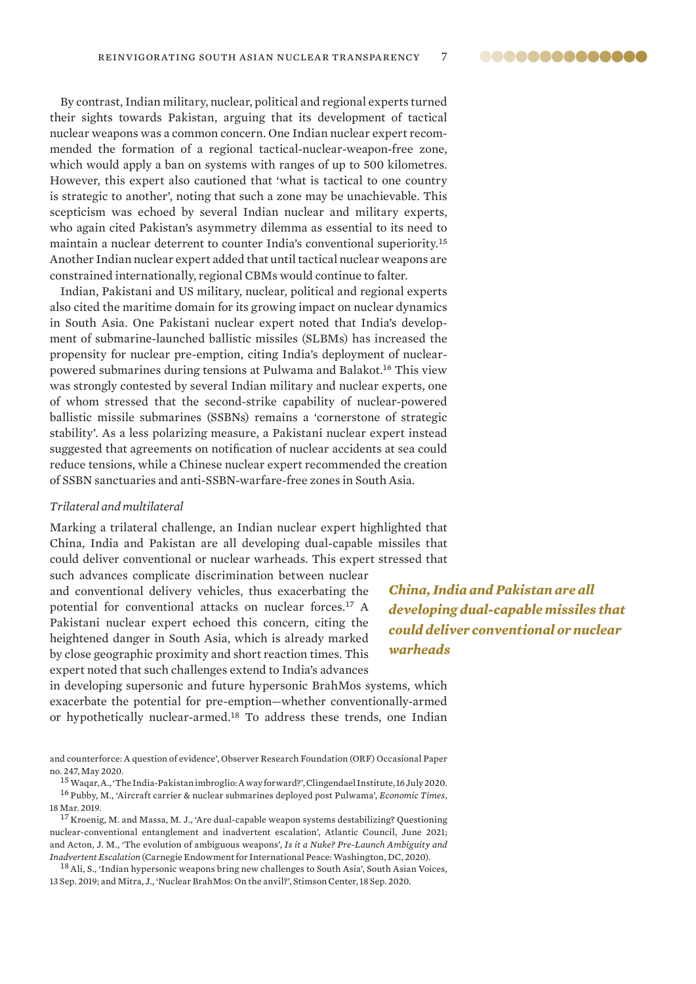@@@@@@@@@@@@@@

By contrast, Indian military, nuclear, political and regional experts turned their sights towards Pakistan, arguing that its development of tactical nuclear weapons was a common concern. One Indian nuclear expert recommended the formation of a regional tactical-nuclear-weapon-free zone, which would apply a ban on systems with ranges of up to 500 kilometres. However, this expert also cautioned that 'what is tactical to one country is strategic to another', noting that such a zone may be unachievable. This scepticism was echoed by several Indian nuclear and military experts, who again cited Pakistan's asymmetry dilemma as essential to its need to maintain a nuclear deterrent to counter India's conventional superiority.<sup>15</sup> Another Indian nuclear expert added that until tactical nuclear weapons are constrained internationally, regional CBMs would continue to falter.

Indian, Pakistani and US military, nuclear, political and regional experts also cited the maritime domain for its growing impact on nuclear dynamics in South Asia. One Pakistani nuclear expert noted that India's development of submarine-launched ballistic missiles (SLBMs) has increased the propensity for nuclear pre-emption, citing India's deployment of nuclearpowered submarines during tensions at Pulwama and Balakot.<sup>16</sup> This view was strongly contested by several Indian military and nuclear experts, one of whom stressed that the second-strike capability of nuclear-powered ballistic missile submarines (SSBNs) remains a 'cornerstone of strategic stability'. As a less polarizing measure, a Pakistani nuclear expert instead suggested that agreements on notification of nuclear accidents at sea could reduce tensions, while a Chinese nuclear expert recommended the creation of SSBN sanctuaries and anti-SSBN-warfare-free zones in South Asia.

#### *Trilateral and multilateral*

Marking a trilateral challenge, an Indian nuclear expert highlighted that China, India and Pakistan are all developing dual-capable missiles that could deliver conventional or nuclear warheads. This expert stressed that

such advances complicate discrimination between nuclear and conventional delivery vehicles, thus exacerbating the potential for conventional attacks on nuclear forces.<sup>17</sup> A Pakistani nuclear expert echoed this concern, citing the heightened danger in South Asia, which is already marked by close geographic proximity and short reaction times. This expert noted that such challenges extend to India's advances

*China, India and Pakistan are all developing dual-capable missiles that could deliver conventional or nuclear warheads*

in developing supersonic and future hypersonic BrahMos systems, which exacerbate the potential for pre-emption—whether conventionally-armed or hypothetically nuclear-armed.<sup>18</sup> To address these trends, one Indian

[and counterforce: A question of evidence](https://www.orfonline.org/research/india-and-counterforce-a-question-of-evidence-66126)', Observer Research Foundation (ORF) Occasional Paper no. 247, May 2020.

<sup>15</sup> Waqar, A., '[The India-Pakistan imbroglio: A way forward?'](https://spectator.clingendael.org/en/publication/india-pakistan-nuclear-imbroglio-what-way-forward), Clingendael Institute, 16 July 2020. <sup>16</sup> Pubby, M., ['Aircraft carrier & nuclear submarines deployed post Pulwama'](https://economictimes.indiatimes.com/news/defence/navy-deployed-strategic-assets-on-operational-deployment-after-pulwama-attack/articleshow/68452772.cms), *Economic Times*,

18 Mar. 2019.  $17$  Kroenig, M. and Massa, M. J., 'Are dual-capable weapon systems destabilizing? Questioning [nuclear-conventional entanglement and inadvertent escalation'](https://www.atlanticcouncil.org/wp-content/uploads/2021/06/Nuclear-Entanglement-IB-v7.pdf), Atlantic Council, June 2021;

and Acton, J. M., ['The evolution of ambiguous weapons](https://carnegieendowment.org/2020/04/09/evolution-of-ambiguous-weapons-pub-81449)', *Is it a Nuke? Pre-Launch Ambiguity and Inadvertent Escalation* (Carnegie Endowment for International Peace: Washington, DC, 2020). <sup>18</sup> Ali, S., '[Indian hypersonic weapons bring new challenges to South Asia'](https://southasianvoices.org/indian-hypersonic-weapons-bring-new-challenges-to-south-asia), South Asian Voices,

13 Sep. 2019; and Mitra, J., '[Nuclear BrahMos: On the anvil?](https://www.stimson.org/2020/nuclear-brahmos-on-the-anvil)', Stimson Center, 18 Sep. 2020.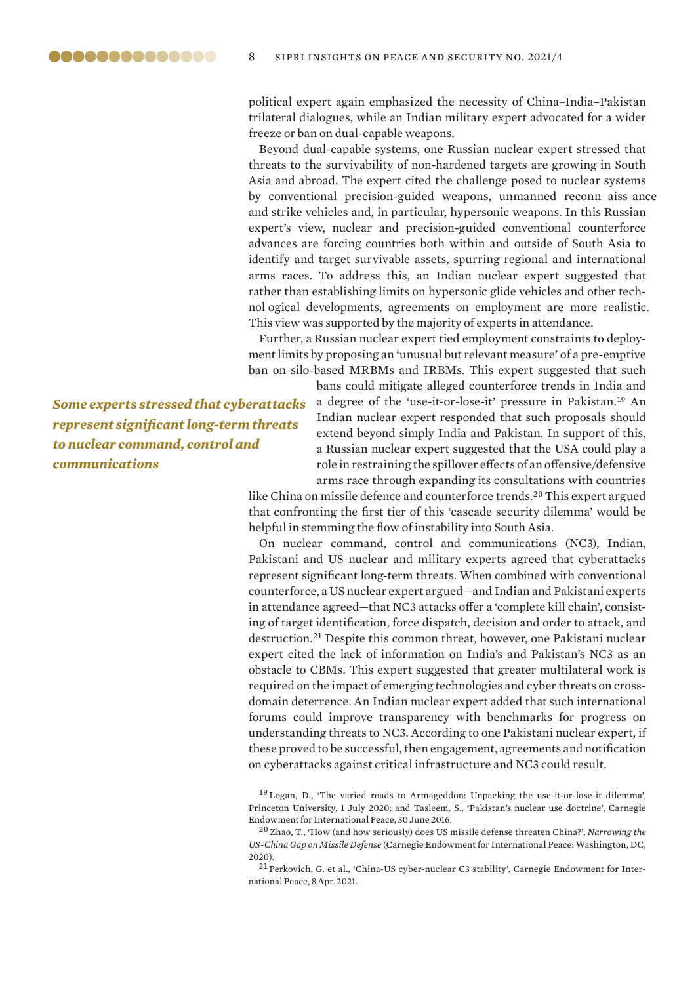political expert again emphasized the necessity of China–India–Pakistan trilateral dialogues, while an Indian military expert advocated for a wider freeze or ban on dual-capable weapons.

Beyond dual-capable systems, one Russian nuclear expert stressed that threats to the survivability of non-hardened targets are growing in South Asia and abroad. The expert cited the challenge posed to nuclear systems by conventional precision-guided weapons, unmanned reconn aiss ance and strike vehicles and, in particular, hypersonic weapons. In this Russian expert's view, nuclear and precision-guided conventional counterforce advances are forcing countries both within and outside of South Asia to identify and target survivable assets, spurring regional and international arms races. To address this, an Indian nuclear expert suggested that rather than establishing limits on hypersonic glide vehicles and other technol ogical developments, agreements on employment are more realistic. This view was supported by the majority of experts in attendance.

Further, a Russian nuclear expert tied employment constraints to deployment limits by proposing an 'unusual but relevant measure' of a pre-emptive ban on silo-based MRBMs and IRBMs. This expert suggested that such

*Some experts stressed that cyberattacks represent significant long-term threats to nuclear command, control and communications* 

,,,,,,,,,,,,,,

bans could mitigate alleged counterforce trends in India and a degree of the 'use-it-or-lose-it' pressure in Pakistan.<sup>19</sup> An Indian nuclear expert responded that such proposals should extend beyond simply India and Pakistan. In support of this, a Russian nuclear expert suggested that the USA could play a role in restraining the spillover effects of an offensive/defensive arms race through expanding its consultations with countries

like China on missile defence and counterforce trends.<sup>20</sup> This expert argued that confronting the first tier of this 'cascade security dilemma' would be helpful in stemming the flow of instability into South Asia.

On nuclear command, control and communications (NC3), Indian, Pakistani and US nuclear and military experts agreed that cyberattacks represent significant long-term threats. When combined with conventional counterforce, a US nuclear expert argued—and Indian and Pakistani experts in attendance agreed—that NC3 attacks offer a 'complete kill chain', consisting of target identification, force dispatch, decision and order to attack, and destruction.<sup>21</sup> Despite this common threat, however, one Pakistani nuclear expert cited the lack of information on India's and Pakistan's NC3 as an obstacle to CBMs. This expert suggested that greater multilateral work is required on the impact of emerging technologies and cyber threats on crossdomain deterrence. An Indian nuclear expert added that such international forums could improve transparency with benchmarks for progress on understanding threats to NC3. According to one Pakistani nuclear expert, if these proved to be successful, then engagement, agreements and notification on cyberattacks against critical infrastructure and NC3 could result.

<sup>19</sup> Logan, D., '[The varied roads to Armageddon: Unpacking the use-it-or-lose-it dilemma](https://scholar.princeton.edu/sites/default/files/dlogan/files/logan_david_-_the_varied_roads_to_armageddon_-_june_2020_3.pdf)', Princeton University, 1 July 2020; and Tasleem, S., '[Pakistan's nuclear use doctrine'](https://carnegieendowment.org/2016/06/30/pakistan-s-nuclear-use-doctrine-pub-63913), Carnegie Endowment for International Peace, 30 June 2016.

<sup>20</sup> Zhao, T., 'How (and how seriously) does US missile defense threaten China?', *[Narrowing the](https://carnegietsinghua.org/2020/06/29/how-and-how-seriously-does-u.s.-missile-defense-threaten-china-pub-82122)  [US-China Gap on Missile Defense](https://carnegietsinghua.org/2020/06/29/how-and-how-seriously-does-u.s.-missile-defense-threaten-china-pub-82122)* (Carnegie Endowment for International Peace: Washington, DC, 2020).

<sup>21</sup> Perkovich, G. et al., ['China-US cyber-nuclear C3 stability](https://carnegieendowment.org/2021/04/08/china-u.s.-cyber-nuclear-c3-stability-pub-84182)', Carnegie Endowment for International Peace, 8 Apr. 2021.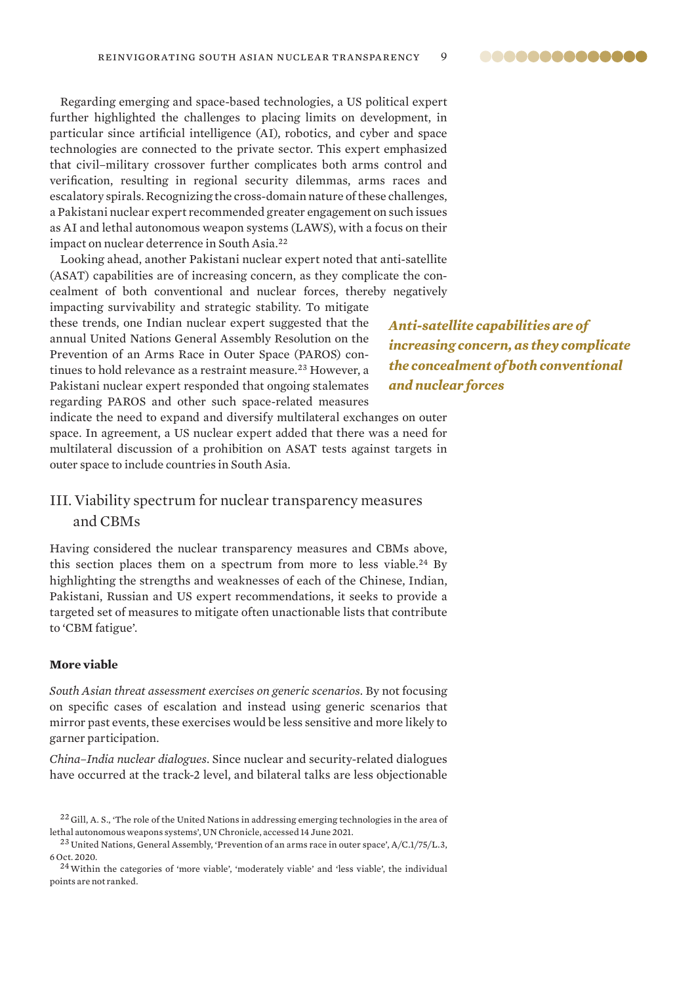@@@@@@@@@@@@@@

<span id="page-8-0"></span>Regarding emerging and space-based technologies, a US political expert further highlighted the challenges to placing limits on development, in particular since artificial intelligence (AI), robotics, and cyber and space technologies are connected to the private sector. This expert emphasized that civil–military crossover further complicates both arms control and verification, resulting in regional security dilemmas, arms races and escalatory spirals. Recognizing the cross-domain nature of these challenges, a Pakistani nuclear expert recommended greater engagement on such issues as AI and lethal autonomous weapon systems (LAWS), with a focus on their impact on nuclear deterrence in South Asia.<sup>22</sup>

Looking ahead, another Pakistani nuclear expert noted that anti-satellite (ASAT) capabilities are of increasing concern, as they complicate the concealment of both conventional and nuclear forces, thereby negatively

impacting survivability and strategic stability. To mitigate these trends, one Indian nuclear expert suggested that the annual United Nations General Assembly Resolution on the Prevention of an Arms Race in Outer Space (PAROS) continues to hold relevance as a restraint measure.<sup>23</sup> However, a Pakistani nuclear expert responded that ongoing stalemates regarding PAROS and other such space-related measures

*Anti-satellite capabilities are of increasing concern, as they complicate the concealment of both conventional and nuclear forces*

indicate the need to expand and diversify multilateral exchanges on outer space. In agreement, a US nuclear expert added that there was a need for multilateral discussion of a prohibition on ASAT tests against targets in outer space to include countries in South Asia.

# III. Viability spectrum for nuclear transparency measures and CBMs

Having considered the nuclear transparency measures and CBMs above, this section places them on a spectrum from more to less viable.<sup>24</sup> By highlighting the strengths and weaknesses of each of the Chinese, Indian, Pakistani, Russian and US expert recommendations, it seeks to provide a targeted set of measures to mitigate often unactionable lists that contribute to 'CBM fatigue'.

#### **More viable**

*South Asian threat assessment exercises on generic scenarios*. By not focusing on specific cases of escalation and instead using generic scenarios that mirror past events, these exercises would be less sensitive and more likely to garner participation.

*China–India nuclear dialogues*. Since nuclear and security-related dialogues have occurred at the track-2 level, and bilateral talks are less objectionable

<sup>&</sup>lt;sup>22</sup> Gill, A. S., 'The role of the United Nations in addressing emerging technologies in the area of [lethal autonomous weapons systems'](https://www.un.org/en/un-chronicle/role-united-nations-addressing-emerging-technologies-area-lethal-autonomous-weapons), UN Chronicle, accessed 14 June 2021.

 $^{23}$  United Nations, General Assembly, '[Prevention of an arms race in outer space'](https://www.un.org/ga/search/view_doc.asp?symbol=A/C.1/75/L.3), A/C.1/75/L.3, 6 Oct. 2020.

<sup>&</sup>lt;sup>24</sup> Within the categories of 'more viable', 'moderately viable' and 'less viable', the individual points are not ranked.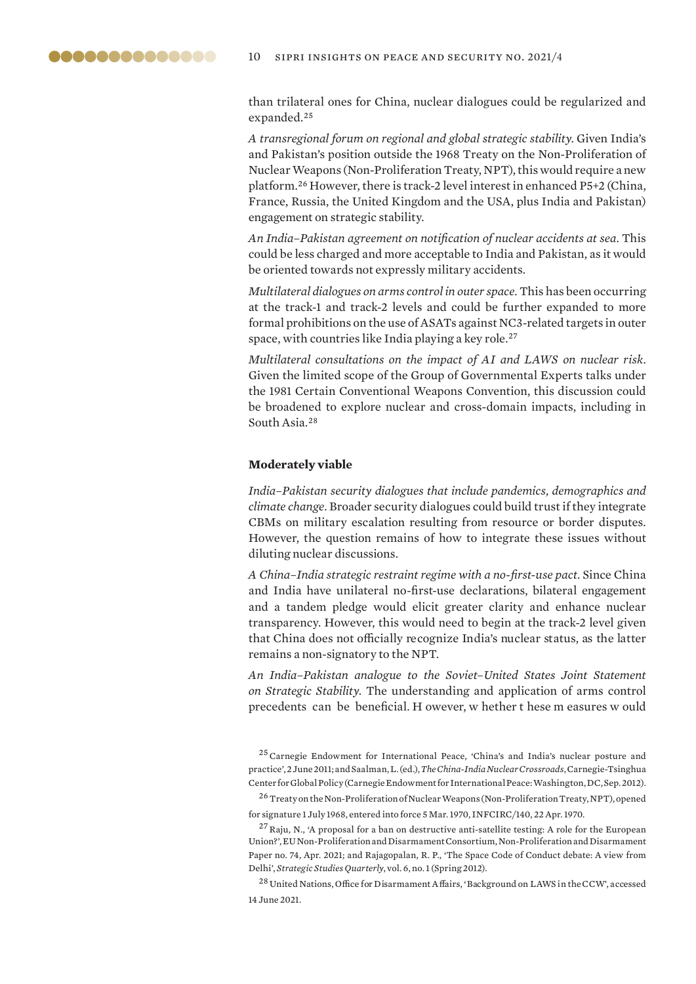<span id="page-9-0"></span>

than trilateral ones for China, nuclear dialogues could be regularized and expanded.<sup>25</sup>

*A transregional forum on regional and global strategic stability*. Given India's and Pakistan's position outside the 1968 Treaty on the Non-Proliferation of Nuclear Weapons (Non-Proliferation Treaty, NPT), this would require a new platform.<sup>26</sup> However, there is track-2 level interest in enhanced P5+2 (China, France, Russia, the United Kingdom and the USA, plus India and Pakistan) engagement on strategic stability.

*An India–Pakistan agreement on notification of nuclear accidents at sea*. This could be less charged and more acceptable to India and Pakistan, as it would be oriented towards not expressly military accidents.

*Multilateral dialogues on arms control in outer space*. This has been occurring at the track-1 and track-2 levels and could be further expanded to more formal prohibitions on the use of ASATs against NC3-related targets in outer space, with countries like India playing a key role.<sup>27</sup>

*Multilateral consultations on the impact of AI and LAWS on nuclear risk*. Given the limited scope of the Group of Governmental Experts talks under the 1981 Certain Conventional Weapons Convention, this discussion could be broadened to explore nuclear and cross-domain impacts, including in South Asia.<sup>28</sup>

#### **Moderately viable**

*India–Pakistan security dialogues that include pandemics, demographics and climate change*. Broader security dialogues could build trust if they integrate CBMs on military escalation resulting from resource or border disputes. However, the question remains of how to integrate these issues without diluting nuclear discussions.

*A China–India strategic restraint regime with a no-first-use pact*. Since China and India have unilateral no-first-use declarations, bilateral engagement and a tandem pledge would elicit greater clarity and enhance nuclear transparency. However, this would need to begin at the track-2 level given that China does not officially recognize India's nuclear status, as the latter remains a non-signatory to the NPT.

*An India–Pakistan analogue to the Soviet–United States Joint Statement on Strategic Stability*. The understanding and application of arms control precedents can be beneficial. H owever, w hether t hese m easures w ould

<sup>25</sup>Carnegie Endowment for International Peace, ['China's and India's nuclear posture and](https://carnegieendowment.org/2011/06/02/china-and-india-s-nuclear-posture-and-practice-event-3353)  [practice](https://carnegieendowment.org/2011/06/02/china-and-india-s-nuclear-posture-and-practice-event-3353)', 2 June 2011; and Saalman, L. (ed.), *[The China-India Nuclear Crossroads](https://carnegieendowment.org/2012/09/25/china-india-nuclear-crossroads-pub-49302)*, Carnegie-Tsinghua Center for Global Policy (Carnegie Endowment for International Peace: Washington, DC, Sep. 2012).

<sup>26</sup>[Treaty on the Non-Proliferation of Nuclear Weapons \(Non-Proliferation Treaty, NPT\)](http://www.iaea.org/Publications/Documents/Treaties/npt.html), opened for signature 1 July 1968, entered into force 5 Mar. 1970, INFCIRC/140, 22 Apr. 1970.

<sup>27</sup>Raju, N., ['A proposal for a ban on destructive anti-satellite testing: A role for the European](https://www.sipri.org/sites/default/files/2021-04/eunpdc_no_74.pdf)  [Union?](https://www.sipri.org/sites/default/files/2021-04/eunpdc_no_74.pdf)', EU Non-Proliferation and Disarmament Consortium, Non-Proliferation and Disarmament Paper no. 74, Apr. 2021; and Rajagopalan, R. P., '[The Space Code of Conduct debate: A view from](https://www.airuniversity.af.edu/Portals/10/SSQ/documents/Volume-06_Issue-1/Rajagopalan.pdf)  [Delhi](https://www.airuniversity.af.edu/Portals/10/SSQ/documents/Volume-06_Issue-1/Rajagopalan.pdf)', *Strategic Studies Quarterly*, vol. 6, no. 1 (Spring 2012).

<sup>28</sup> United Nations, Office for Disarmament Affairs, '[Background on LAWS in the CCW'](https://www.un.org/disarmament/the-convention-on-certain-conventional-weapons/background-on-laws-in-the-ccw), accessed 14 June 2021.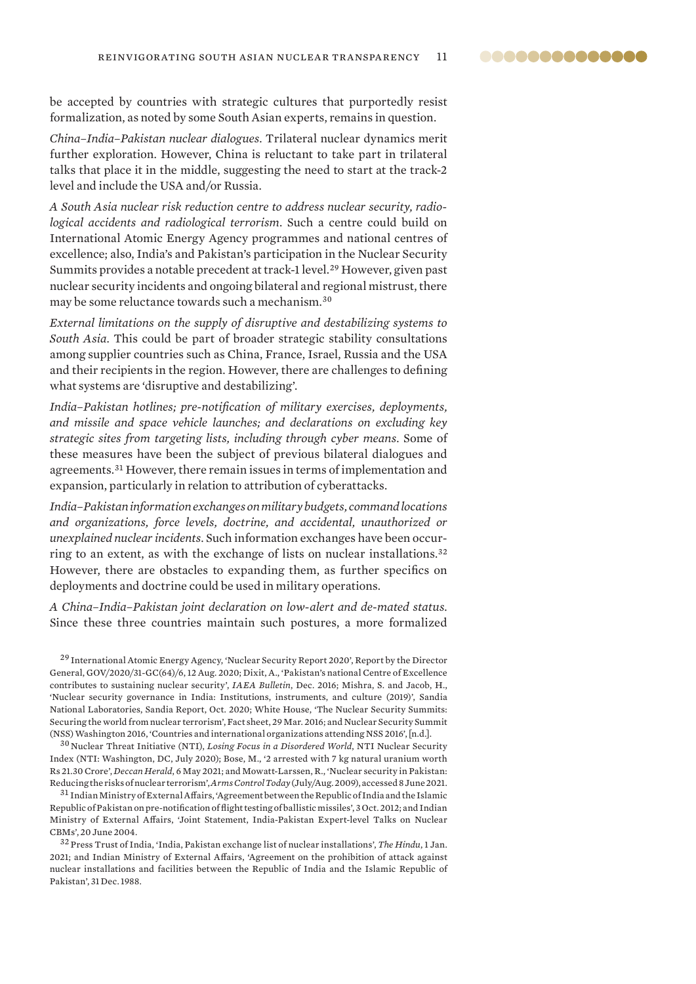@@@@@@@@@@@@@@

be accepted by countries with strategic cultures that purportedly resist formalization, as noted by some South Asian experts, remains in question.

*China–India–Pakistan nuclear dialogues*. Trilateral nuclear dynamics merit further exploration. However, China is reluctant to take part in trilateral talks that place it in the middle, suggesting the need to start at the track-2 level and include the USA and/or Russia.

*A South Asia nuclear risk reduction centre to address nuclear security, radiological accidents and radiological terrorism*. Such a centre could build on International Atomic Energy Agency programmes and national centres of excellence; also, India's and Pakistan's participation in the Nuclear Security Summits provides a notable precedent at track-1 level.<sup>29</sup> However, given past nuclear security incidents and ongoing bilateral and regional mistrust, there may be some reluctance towards such a mechanism.<sup>30</sup>

*External limitations on the supply of disruptive and destabilizing systems to South Asia*. This could be part of broader strategic stability consultations among supplier countries such as China, France, Israel, Russia and the USA and their recipients in the region. However, there are challenges to defining what systems are 'disruptive and destabilizing'.

*India–Pakistan hotlines; pre-notification of military exercises, deployments, and missile and space vehicle launches; and declarations on excluding key strategic sites from targeting lists, including through cyber means*. Some of these measures have been the subject of previous bilateral dialogues and agreements.<sup>31</sup> However, there remain issues in terms of implementation and expansion, particularly in relation to attribution of cyberattacks.

*India–Pakistan information exchanges on military budgets, command locations and organizations, force levels, doctrine, and accidental, unauthorized or unexplained nuclear incidents*. Such information exchanges have been occurring to an extent, as with the exchange of lists on nuclear installations.<sup>32</sup> However, there are obstacles to expanding them, as further specifics on deployments and doctrine could be used in military operations.

*A China–India–Pakistan joint declaration on low-alert and de-mated status*. Since these three countries maintain such postures, a more formalized

<sup>29</sup> International Atomic Energy Agency, '[Nuclear Security Report 2020](https://www.iaea.org/sites/default/files/gc/gc64-6.pdf)', Report by the Director General, GOV/2020/31-GC(64)/6, 12 Aug. 2020; Dixit, A., '[Pakistan's national Centre of Excellence](https://www.iaea.org/sites/default/files/publications/magazines/bulletin/bull57-4/5742222.pdf)  [contributes to sustaining nuclear security'](https://www.iaea.org/sites/default/files/publications/magazines/bulletin/bull57-4/5742222.pdf), *IAEA Bulletin*, Dec. 2016; Mishra, S. and Jacob, H., '[Nuclear security governance in India: Institutions, instruments, and culture \(2019\)'](https://www.sandia.gov/cooperative-monitoring-center/_assets/documents/SAND2020-10916.pdf), Sandia National Laboratories, Sandia Report, Oct. 2020; White House, '[The Nuclear Security Summits:](https://obamawhitehouse.archives.gov/the-press-office/2016/03/29/fact-sheet-nuclear-security-summits-securing-world-nuclear-terrorism)  [Securing the world from nuclear terrorism'](https://obamawhitehouse.archives.gov/the-press-office/2016/03/29/fact-sheet-nuclear-security-summits-securing-world-nuclear-terrorism), Fact sheet, 29 Mar. 2016; and Nuclear Security Summit (NSS) Washington 2016, '[Countries and international organizations attending NSS 2016](http://www.nss2016.org/attending-delegations)', [n.d.].

<sup>30</sup> Nuclear Threat Initiative (NTI), *[Losing Focus in a Disordered World](https://www.ntiindex.org/wp-content/uploads/2020/09/2020_NTI-Index_Report_Final.pdf)*, NTI Nuclear Security Index (NTI: Washington, DC, July 2020); Bose, M., '[2 arrested with 7 kg natural uranium worth](https://www.deccanherald.com/national/west/2-arrested-with-7-kg-natural-uranium-worth-rs-2130-crore-982917.html)  [Rs 21.30 Crore'](https://www.deccanherald.com/national/west/2-arrested-with-7-kg-natural-uranium-worth-rs-2130-crore-982917.html), *Deccan Herald*, 6 May 2021; and Mowatt-Larssen, R., '[Nuclear security in Pakistan:](https://www.armscontrol.org/act/2009-07/features/nuclear-security-pakistan-reducing-risks-nuclear-terrorism)  [Reducing the risks of nuclear terrorism](https://www.armscontrol.org/act/2009-07/features/nuclear-security-pakistan-reducing-risks-nuclear-terrorism)', *Arms Control Today* (July/Aug. 2009), accessed 8 June 2021.

<sup>31</sup> Indian Ministry of External Affairs, 'Agreement between the Republic of India and the Islamic [Republic of Pakistan on pre-notification of flight testing of ballistic missiles](http://mea.gov.in/Portal/LegalTreatiesDoc/PA05B0591.pdf)', 3 Oct. 2012; and Indian Ministry of External Affairs, '[Joint Statement, India-Pakistan Expert-level Talks on Nuclear](https://www.mea.gov.in/press-releases.htm?dtl/7593/Joint_Statement_IndiaPakistan_ExpertLevel_Talks_on_Nuclear_CBMs)  [CBMs](https://www.mea.gov.in/press-releases.htm?dtl/7593/Joint_Statement_IndiaPakistan_ExpertLevel_Talks_on_Nuclear_CBMs)', 20 June 2004.

<sup>32</sup> Press Trust of India, '[India, Pakistan exchange list of nuclear installations'](https://www.thehindu.com/news/national/india-pakistan-exchange-list-of-nuclear-installations/article33471376.ece), *The Hindu*, 1 Jan. 2021; and Indian Ministry of External Affairs, ['Agreement on the prohibition of attack against](https://mea.gov.in/Portal/LegalTreatiesDoc/PAB1232.pdf)  [nuclear installations and facilities between the Republic of India and the Islamic Republic of](https://mea.gov.in/Portal/LegalTreatiesDoc/PAB1232.pdf)  [Pakistan](https://mea.gov.in/Portal/LegalTreatiesDoc/PAB1232.pdf)', 31 Dec. 1988.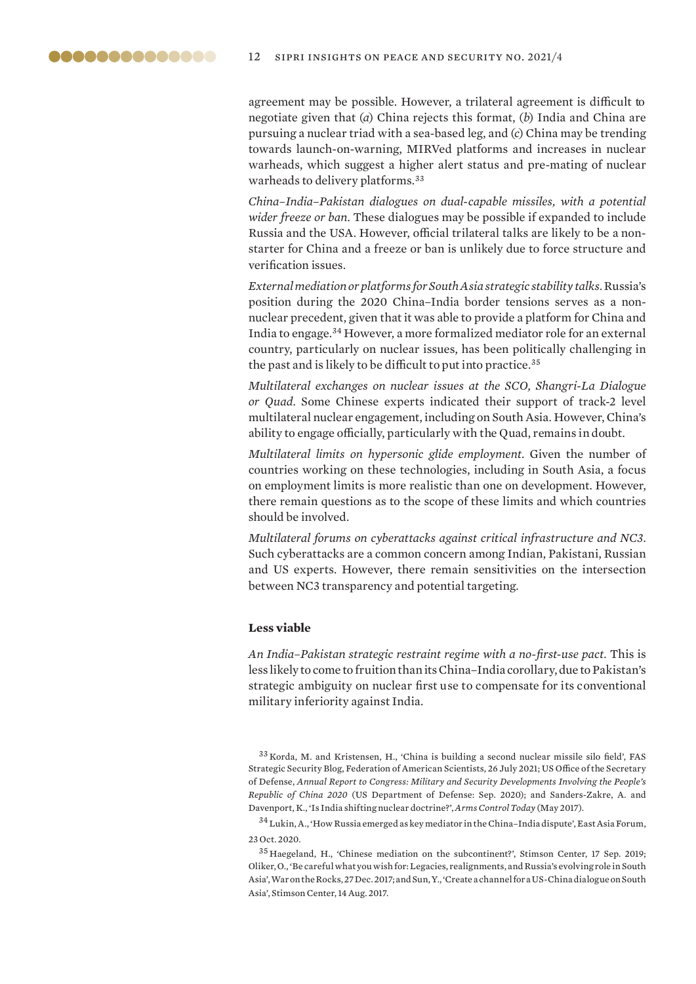<span id="page-11-0"></span>agreement may be possible. However, a trilateral agreement is difficult to negotiate given that (*a*) China rejects this format, (*b*) India and China are pursuing a nuclear triad with a sea-based leg, and (*c*) China may be trending towards launch-on-warning, MIRVed platforms and increases in nuclear warheads, which suggest a higher alert status and pre-mating of nuclear warheads to delivery platforms.<sup>33</sup>

*China–India–Pakistan dialogues on dual-capable missiles, with a potential wider freeze or ban*. These dialogues may be possible if expanded to include Russia and the USA. However, official trilateral talks are likely to be a nonstarter for China and a freeze or ban is unlikely due to force structure and verification issues.

*External mediation or platforms for South Asia strategic stability talks*. Russia's position during the 2020 China–India border tensions serves as a nonnuclear precedent, given that it was able to provide a platform for China and India to engage.<sup>34</sup> However, a more formalized mediator role for an external country, particularly on nuclear issues, has been politically challenging in the past and is likely to be difficult to put into practice.<sup>35</sup>

*Multilateral exchanges on nuclear issues at the SCO, Shangri-La Dialogue or Quad*. Some Chinese experts indicated their support of track-2 level multilateral nuclear engagement, including on South Asia. However, China's ability to engage officially, particularly with the Quad, remains in doubt.

*Multilateral limits on hypersonic glide employment*. Given the number of countries working on these technologies, including in South Asia, a focus on employment limits is more realistic than one on development. However, there remain questions as to the scope of these limits and which countries should be involved.

*Multilateral forums on cyberattacks against critical infrastructure and NC3*. Such cyberattacks are a common concern among Indian, Pakistani, Russian and US experts. However, there remain sensitivities on the intersection between NC3 transparency and potential targeting.

#### **Less viable**

*An India–Pakistan strategic restraint regime with a no-first-use pact*. This is less likely to come to fruition than its China–India corollary, due to Pakistan's strategic ambiguity on nuclear first use to compensate for its conventional military inferiority against India.

<sup>33</sup> Korda, M. and Kristensen, H., '[China is building a second nuclear missile silo field](https://fas.org/blogs/security/2021/07/china-is-building-a-second-nuclear-missile-silo-field/)', FAS Strategic Security Blog, Federation of American Scientists, 26 July 2021; US Office of the Secretary of Defense, *[Annual Report to Congress: Military and Security Developments Involving the People's](https://media.defense.gov/2020/Sep/01/2002488689/-1/-1/1/2020-DOD-CHINA-MILITARY-POWER-REPORT-FINAL.PDF)  [Republic of China 2020](https://media.defense.gov/2020/Sep/01/2002488689/-1/-1/1/2020-DOD-CHINA-MILITARY-POWER-REPORT-FINAL.PDF)* (US Department of Defense: Sep. 2020); and Sanders-Zakre, A. and Davenport, K., ['Is India shifting nuclear doctrine?'](https://www.armscontrol.org/act/2017-05/news/india-shifting-nuclear-doctrine), *Arms Control Today* (May 2017).

<sup>34</sup> Lukin, A., '[How Russia emerged as key mediator in the China–India dispute](https://www.eastasiaforum.org/2020/10/23/how-russia-emerged-as-key-mediator-in-the-china-india-dispute)', East Asia Forum, 23 Oct. 2020.

<sup>35</sup> Haegeland, H., ['Chinese mediation on the subcontinent?](https://www.stimson.org/2019/chinese-mediation-subcontinent)', Stimson Center, 17 Sep. 2019; Oliker, O., '[Be careful what you wish for: Legacies, realignments, and Russia's evolving role in South](https://warontherocks.com/2017/12/careful-wish-legacies-realignments-russias-evolving-role-south-asia)  [Asia'](https://warontherocks.com/2017/12/careful-wish-legacies-realignments-russias-evolving-role-south-asia), War on the Rocks, 27 Dec. 2017; and Sun, Y., '[Create a channel for a US-China dialogue on South](https://www.stimson.org/2017/create-channel-us-china-dialogue-south-asia)  [Asia'](https://www.stimson.org/2017/create-channel-us-china-dialogue-south-asia), Stimson Center, 14 Aug. 2017.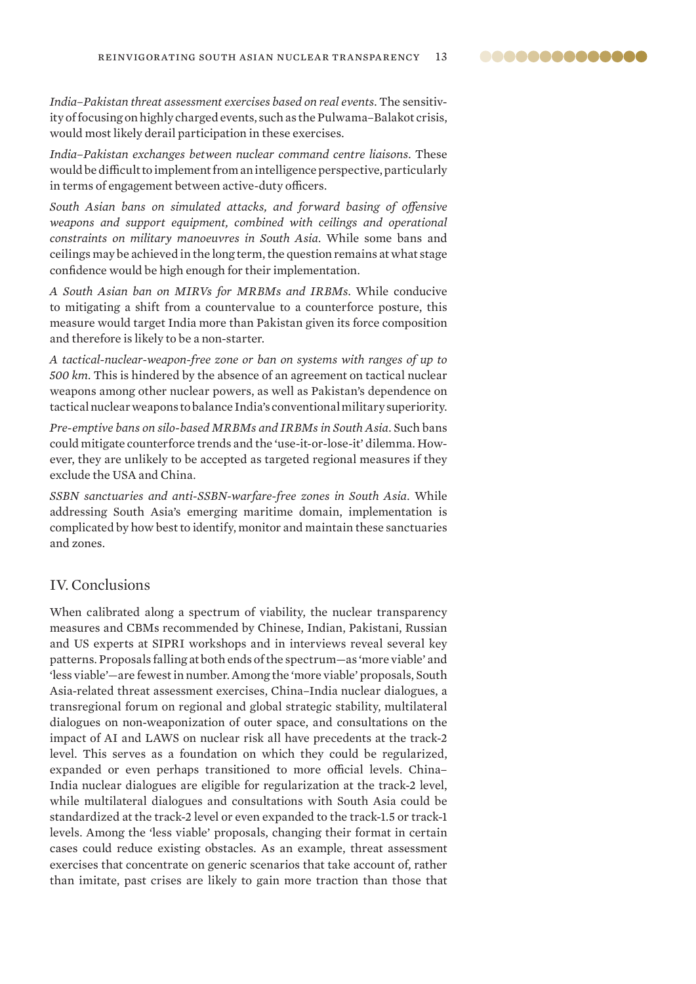..............

<span id="page-12-0"></span>*India–Pakistan threat assessment exercises based on real events*. The sensitivity of focusing on highly charged events, such as the Pulwama–Balakot crisis, would most likely derail participation in these exercises.

*India–Pakistan exchanges between nuclear command centre liaisons*. These would be difficult to implement from an intelligence perspective, particularly in terms of engagement between active-duty officers.

*South Asian bans on simulated attacks, and forward basing of offensive weapons and support equipment, combined with ceilings and operational constraints on military manoeuvres in South Asia*. While some bans and ceilings may be achieved in the long term, the question remains at what stage confidence would be high enough for their implementation.

*A South Asian ban on MIRVs for MRBMs and IRBMs*. While conducive to mitigating a shift from a countervalue to a counterforce posture, this measure would target India more than Pakistan given its force composition and therefore is likely to be a non-starter.

*A tactical-nuclear-weapon-free zone or ban on systems with ranges of up to 500 km*. This is hindered by the absence of an agreement on tactical nuclear weapons among other nuclear powers, as well as Pakistan's dependence on tactical nuclear weapons to balance India's conventional military superiority.

*Pre-emptive bans on silo-based MRBMs and IRBMs in South Asia*. Such bans could mitigate counterforce trends and the 'use-it-or-lose-it' dilemma. However, they are unlikely to be accepted as targeted regional measures if they exclude the USA and China.

*SSBN sanctuaries and anti-SSBN-warfare-free zones in South Asia*. While addressing South Asia's emerging maritime domain, implementation is complicated by how best to identify, monitor and maintain these sanctuaries and zones.

# IV. Conclusions

When calibrated along a spectrum of viability, the nuclear transparency measures and CBMs recommended by Chinese, Indian, Pakistani, Russian and US experts at SIPRI workshops and in interviews reveal several key patterns. Proposals falling at both ends of the spectrum—as 'more viable' and 'less viable'—are fewest in number. Among the 'more viable' proposals, South Asia-related threat assessment exercises, China–India nuclear dialogues, a transregional forum on regional and global strategic stability, multilateral dialogues on non-weaponization of outer space, and consultations on the impact of AI and LAWS on nuclear risk all have precedents at the track-2 level. This serves as a foundation on which they could be regularized, expanded or even perhaps transitioned to more official levels. China– India nuclear dialogues are eligible for regularization at the track-2 level, while multilateral dialogues and consultations with South Asia could be standardized at the track-2 level or even expanded to the track-1.5 or track-1 levels. Among the 'less viable' proposals, changing their format in certain cases could reduce existing obstacles. As an example, threat assessment exercises that concentrate on generic scenarios that take account of, rather than imitate, past crises are likely to gain more traction than those that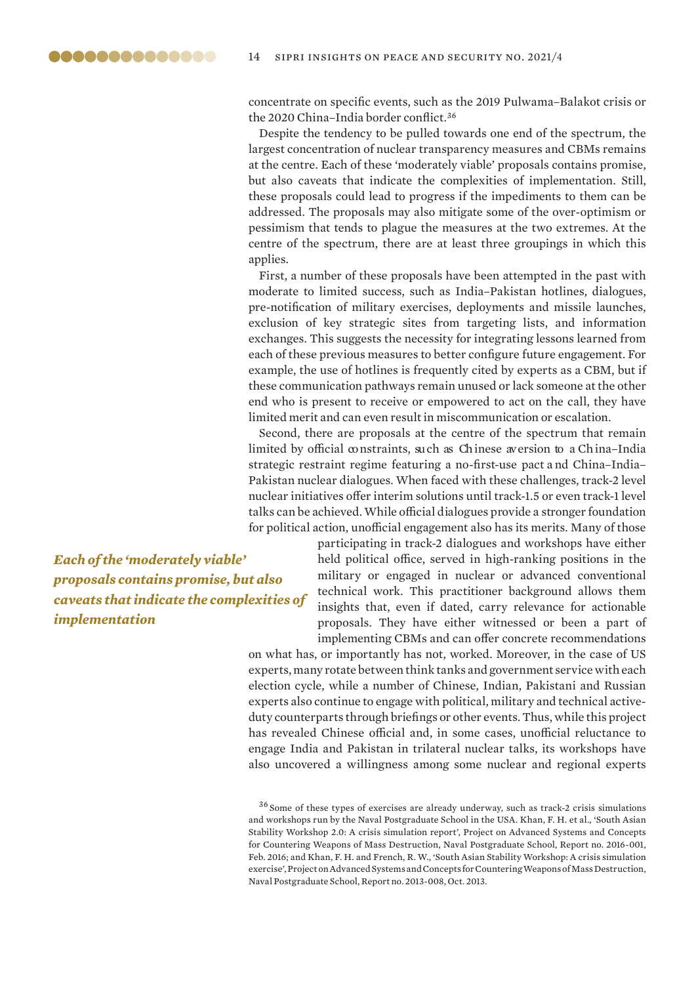concentrate on specific events, such as the 2019 Pulwama–Balakot crisis or the 2020 China–India border conflict.<sup>36</sup>

Despite the tendency to be pulled towards one end of the spectrum, the largest concentration of nuclear transparency measures and CBMs remains at the centre. Each of these 'moderately viable' proposals contains promise, but also caveats that indicate the complexities of implementation. Still, these proposals could lead to progress if the impediments to them can be addressed. The proposals may also mitigate some of the over-optimism or pessimism that tends to plague the measures at the two extremes. At the centre of the spectrum, there are at least three groupings in which this applies.

First, a number of these proposals have been attempted in the past with moderate to limited success, such as India–Pakistan hotlines, dialogues, pre-notification of military exercises, deployments and missile launches, exclusion of key strategic sites from targeting lists, and information exchanges. This suggests the necessity for integrating lessons learned from each of these previous measures to better configure future engagement. For example, the use of hotlines is frequently cited by experts as a CBM, but if these communication pathways remain unused or lack someone at the other end who is present to receive or empowered to act on the call, they have limited merit and can even result in miscommunication or escalation.

Second, there are proposals at the centre of the spectrum that remain limited by official constraints, such as Chinese aversion to a China–India strategic restraint regime featuring a no-first-use pact a nd China–India– Pakistan nuclear dialogues. When faced with these challenges, track-2 level nuclear initiatives offer interim solutions until track-1.5 or even track-1 level talks can be achieved. While official dialogues provide a stronger foundation for political action, unofficial engagement also has its merits. Many of those

*Each of the 'moderately viable' proposals contains promise, but also caveats that indicate the complexities of implementation*

participating in track-2 dialogues and workshops have either held political office, served in high-ranking positions in the military or engaged in nuclear or advanced conventional technical work. This practitioner background allows them insights that, even if dated, carry relevance for actionable proposals. They have either witnessed or been a part of implementing CBMs and can offer concrete recommendations

on what has, or importantly has not, worked. Moreover, in the case of US experts, many rotate between think tanks and government service with each election cycle, while a number of Chinese, Indian, Pakistani and Russian experts also continue to engage with political, military and technical activeduty counterparts through briefings or other events. Thus, while this project has revealed Chinese official and, in some cases, unofficial reluctance to engage India and Pakistan in trilateral nuclear talks, its workshops have also uncovered a willingness among some nuclear and regional experts

<sup>36</sup> Some of these types of exercises are already underway, such as track-2 crisis simulations and workshops run by the Naval Postgraduate School in the USA. Khan, F. H. et al., '[South Asian](https://www.hsdl.org/?view&did=792170)  [Stability Workshop 2.0: A crisis simulation report'](https://www.hsdl.org/?view&did=792170), Project on Advanced Systems and Concepts for Countering Weapons of Mass Destruction, Naval Postgraduate School, Report no. 2016-001, Feb. 2016; and Khan, F. H. and French, R. W., ['South Asian Stability Workshop: A crisis simulation](https://www.hsdl.org/?view&did=745601)  [exercise'](https://www.hsdl.org/?view&did=745601), Project on Advanced Systems and Concepts for Countering Weapons of Mass Destruction, Naval Postgraduate School, Report no. 2013-008, Oct. 2013.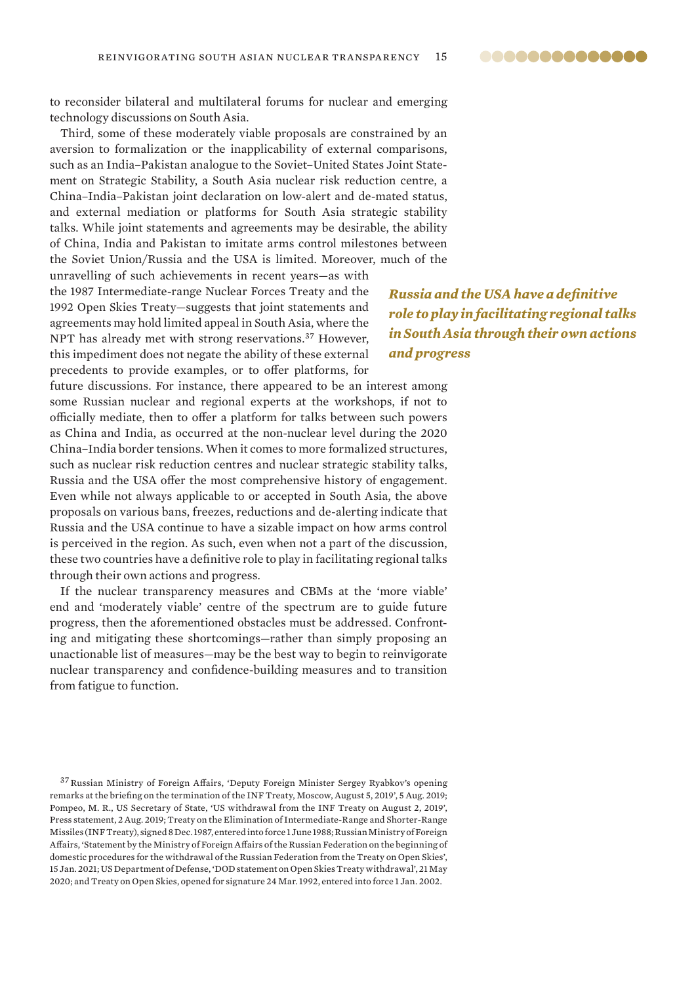..............

to reconsider bilateral and multilateral forums for nuclear and emerging technology discussions on South Asia.

Third, some of these moderately viable proposals are constrained by an aversion to formalization or the inapplicability of external comparisons, such as an India–Pakistan analogue to the Soviet–United States Joint Statement on Strategic Stability, a South Asia nuclear risk reduction centre, a China–India–Pakistan joint declaration on low-alert and de-mated status, and external mediation or platforms for South Asia strategic stability talks. While joint statements and agreements may be desirable, the ability of China, India and Pakistan to imitate arms control milestones between the Soviet Union/Russia and the USA is limited. Moreover, much of the

unravelling of such achievements in recent years—as with the 1987 Intermediate-range Nuclear Forces Treaty and the 1992 Open Skies Treaty—suggests that joint statements and agreements may hold limited appeal in South Asia, where the NPT has already met with strong reservations.<sup>37</sup> However, this impediment does not negate the ability of these external precedents to provide examples, or to offer platforms, for

*Russia and the USA have a definitive role to play in facilitating regional talks in South Asia through their own actions and progress*

future discussions. For instance, there appeared to be an interest among some Russian nuclear and regional experts at the workshops, if not to officially mediate, then to offer a platform for talks between such powers as China and India, as occurred at the non-nuclear level during the 2020 China–India border tensions. When it comes to more formalized structures, such as nuclear risk reduction centres and nuclear strategic stability talks, Russia and the USA offer the most comprehensive history of engagement. Even while not always applicable to or accepted in South Asia, the above proposals on various bans, freezes, reductions and de-alerting indicate that Russia and the USA continue to have a sizable impact on how arms control is perceived in the region. As such, even when not a part of the discussion, these two countries have a definitive role to play in facilitating regional talks through their own actions and progress.

If the nuclear transparency measures and CBMs at the 'more viable' end and 'moderately viable' centre of the spectrum are to guide future progress, then the aforementioned obstacles must be addressed. Confronting and mitigating these shortcomings—rather than simply proposing an unactionable list of measures—may be the best way to begin to reinvigorate nuclear transparency and confidence-building measures and to transition from fatigue to function.

<sup>37</sup>Russian Ministry of Foreign Affairs, ['Deputy Foreign Minister Sergey Ryabkov's opening](https://www.mid.ru/en/web/guest/situacia-vokrug-dogovora-o-rsmd/-/asset_publisher/ckorjLVIkS61/content/id/3750835)  [remarks at the briefing on the termination of the INF Treaty, Moscow, August 5, 2019'](https://www.mid.ru/en/web/guest/situacia-vokrug-dogovora-o-rsmd/-/asset_publisher/ckorjLVIkS61/content/id/3750835), 5 Aug. 2019; Pompeo, M. R., US Secretary of State, ['US withdrawal from the INF Treaty on August 2, 2019](https://2017-2021.state.gov/u-s-withdrawal-from-the-inf-treaty-on-august-2-2019/index.html)', Press statement, 2 Aug. 2019; [Treaty on the Elimination of Intermediate-Range and Shorter-Range](https://treaties.un.org/doc/Publication/UNTS/Volume 1657/v1657.pdf)  [Missiles \(INF Treaty\)](https://treaties.un.org/doc/Publication/UNTS/Volume 1657/v1657.pdf), signed 8 Dec. 1987, entered into force 1 June 1988; Russian Ministry of Foreign Affairs, '[Statement by the Ministry of Foreign Affairs of the Russian Federation on the beginning of](https://www.mid.ru/en/foreign_policy/news/-/asset_publisher/cKNonkJE02Bw/content/id/4522563)  [domestic procedures for the withdrawal of the Russian Federation from the Treaty on Open Skies](https://www.mid.ru/en/foreign_policy/news/-/asset_publisher/cKNonkJE02Bw/content/id/4522563)', 15 Jan. 2021; US Department of Defense, '[DOD statement on Open Skies Treaty withdrawal](https://www.defense.gov/Newsroom/Releases/Release/Article/2195239/dod-statement-on-open-skies-treaty-withdrawal)', 21 May 2020; and [Treaty on Open Skie](https://www.treaty-accord.gc.ca/text-texte.aspx?id=102747)s, opened for signature 24 Mar. 1992, entered into force 1 Jan. 2002.